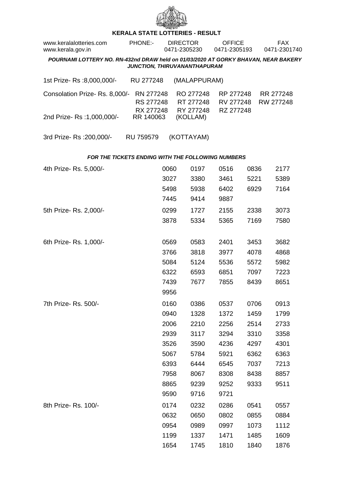

## **KERALA STATE LOTTERIES - RESULT**

| www.keralalotteries.com<br>www.kerala.gov.in                                                                       | PHONE:-                             | <b>DIRECTOR</b><br>0471-2305230 |                                     | <b>OFFICE</b><br>0471-2305193       |      | <b>FAX</b><br>0471-2301740 |  |  |  |  |
|--------------------------------------------------------------------------------------------------------------------|-------------------------------------|---------------------------------|-------------------------------------|-------------------------------------|------|----------------------------|--|--|--|--|
| POURNAMI LOTTERY NO. RN-432nd DRAW held on 01/03/2020 AT GORKY BHAVAN, NEAR BAKERY<br>JUNCTION, THIRUVANANTHAPURAM |                                     |                                 |                                     |                                     |      |                            |  |  |  |  |
| 1st Prize- Rs :8,000,000/-                                                                                         | RU 277248                           |                                 | (MALAPPURAM)                        |                                     |      |                            |  |  |  |  |
| Consolation Prize-Rs. 8,000/-                                                                                      | RN 277248<br>RS 277248<br>RX 277248 |                                 | RO 277248<br>RT 277248<br>RY 277248 | RP 277248<br>RV 277248<br>RZ 277248 |      | RR 277248<br>RW 277248     |  |  |  |  |
| 2nd Prize- Rs : 1,000,000/-                                                                                        | RR 140063                           |                                 | (KOLLAM)                            |                                     |      |                            |  |  |  |  |
| 3rd Prize-Rs : 200,000/-                                                                                           | RU 759579                           |                                 | (KOTTAYAM)                          |                                     |      |                            |  |  |  |  |
| <b>FOR THE TICKETS ENDING WITH THE FOLLOWING NUMBERS</b>                                                           |                                     |                                 |                                     |                                     |      |                            |  |  |  |  |
| 4th Prize-Rs. 5,000/-                                                                                              |                                     | 0060                            | 0197                                | 0516                                | 0836 | 2177                       |  |  |  |  |
|                                                                                                                    |                                     | 3027                            | 3380                                | 3461                                | 5221 | 5389                       |  |  |  |  |
|                                                                                                                    |                                     | 5498                            | 5938                                | 6402                                | 6929 | 7164                       |  |  |  |  |
|                                                                                                                    |                                     | 7445                            | 9414                                | 9887                                |      |                            |  |  |  |  |
| 5th Prize-Rs. 2,000/-                                                                                              |                                     | 0299                            | 1727                                | 2155                                | 2338 | 3073                       |  |  |  |  |
|                                                                                                                    |                                     | 3878                            | 5334                                | 5365                                | 7169 | 7580                       |  |  |  |  |
|                                                                                                                    |                                     |                                 |                                     |                                     |      |                            |  |  |  |  |
| 6th Prize-Rs. 1,000/-                                                                                              |                                     | 0569                            | 0583                                | 2401                                | 3453 | 3682                       |  |  |  |  |
|                                                                                                                    |                                     | 3766                            | 3818                                | 3977                                | 4078 | 4868                       |  |  |  |  |
|                                                                                                                    |                                     | 5084                            | 5124                                | 5536                                | 5572 | 5982                       |  |  |  |  |
|                                                                                                                    |                                     | 6322                            | 6593                                | 6851                                | 7097 | 7223                       |  |  |  |  |
|                                                                                                                    |                                     | 7439                            | 7677                                | 7855                                | 8439 | 8651                       |  |  |  |  |
|                                                                                                                    |                                     | 9956                            |                                     |                                     |      |                            |  |  |  |  |
| 7th Prize- Rs. 500/-                                                                                               |                                     | 0160                            | 0386                                | 0537                                | 0706 | 0913                       |  |  |  |  |
|                                                                                                                    |                                     | 0940                            | 1328                                | 1372                                | 1459 | 1799                       |  |  |  |  |
|                                                                                                                    |                                     | 2006                            | 2210                                | 2256                                | 2514 | 2733                       |  |  |  |  |
|                                                                                                                    |                                     | 2939                            | 3117                                | 3294                                | 3310 | 3358                       |  |  |  |  |
|                                                                                                                    |                                     | 3526                            | 3590                                | 4236                                | 4297 | 4301                       |  |  |  |  |
|                                                                                                                    |                                     | 5067                            | 5784                                | 5921                                | 6362 | 6363                       |  |  |  |  |
|                                                                                                                    |                                     | 6393                            | 6444                                | 6545                                | 7037 | 7213                       |  |  |  |  |
|                                                                                                                    |                                     | 7958                            | 8067                                | 8308                                | 8438 | 8857                       |  |  |  |  |
|                                                                                                                    |                                     | 8865                            | 9239                                | 9252                                | 9333 | 9511                       |  |  |  |  |
|                                                                                                                    |                                     | 9590                            | 9716                                | 9721                                |      |                            |  |  |  |  |
| 8th Prize-Rs. 100/-                                                                                                |                                     | 0174                            | 0232                                | 0286                                | 0541 | 0557                       |  |  |  |  |
|                                                                                                                    |                                     | 0632                            | 0650                                | 0802                                | 0855 | 0884                       |  |  |  |  |
|                                                                                                                    |                                     | 0954                            | 0989                                | 0997                                | 1073 | 1112                       |  |  |  |  |
|                                                                                                                    |                                     | 1199                            | 1337                                | 1471                                | 1485 | 1609                       |  |  |  |  |

1654 1745 1810 1840 1876